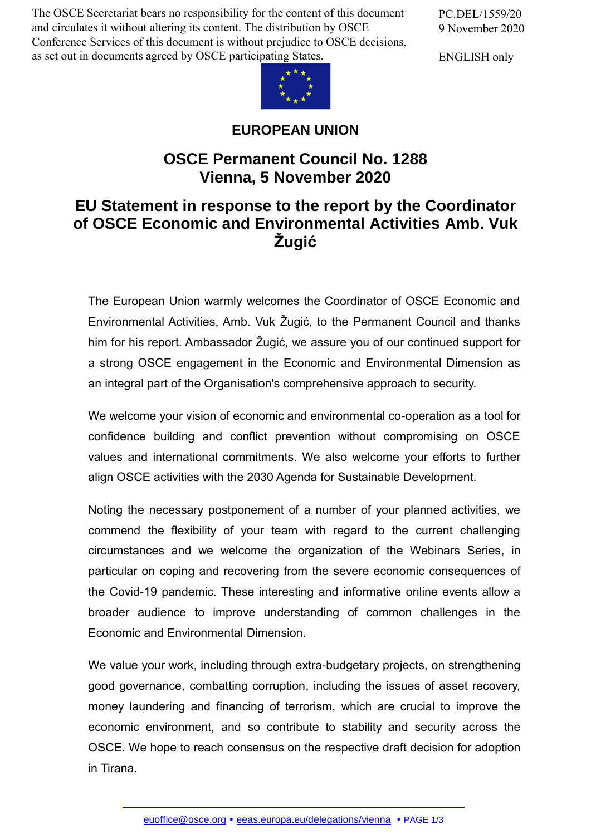The OSCE Secretariat bears no responsibility for the content of this document and circulates it without altering its content. The distribution by OSCE Conference Services of this document is without prejudice to OSCE decisions, as set out in documents agreed by OSCE participating States.

PC.DEL/1559/20 9 November 2020

ENGLISH only



## **EUROPEAN UNION**

## **OSCE Permanent Council No. 1288 Vienna, 5 November 2020**

## **EU Statement in response to the report by the Coordinator of OSCE Economic and Environmental Activities Amb. Vuk Žugić**

The European Union warmly welcomes the Coordinator of OSCE Economic and Environmental Activities, Amb. Vuk Žugić, to the Permanent Council and thanks him for his report. Ambassador Žugić, we assure you of our continued support for a strong OSCE engagement in the Economic and Environmental Dimension as an integral part of the Organisation's comprehensive approach to security.

We welcome your vision of economic and environmental co-operation as a tool for confidence building and conflict prevention without compromising on OSCE values and international commitments. We also welcome your efforts to further align OSCE activities with the 2030 Agenda for Sustainable Development.

Noting the necessary postponement of a number of your planned activities, we commend the flexibility of your team with regard to the current challenging circumstances and we welcome the organization of the Webinars Series, in particular on coping and recovering from the severe economic consequences of the Covid-19 pandemic. These interesting and informative online events allow a broader audience to improve understanding of common challenges in the Economic and Environmental Dimension.

We value your work, including through extra-budgetary projects, on strengthening good governance, combatting corruption, including the issues of asset recovery, money laundering and financing of terrorism, which are crucial to improve the economic environment, and so contribute to stability and security across the OSCE. We hope to reach consensus on the respective draft decision for adoption in Tirana.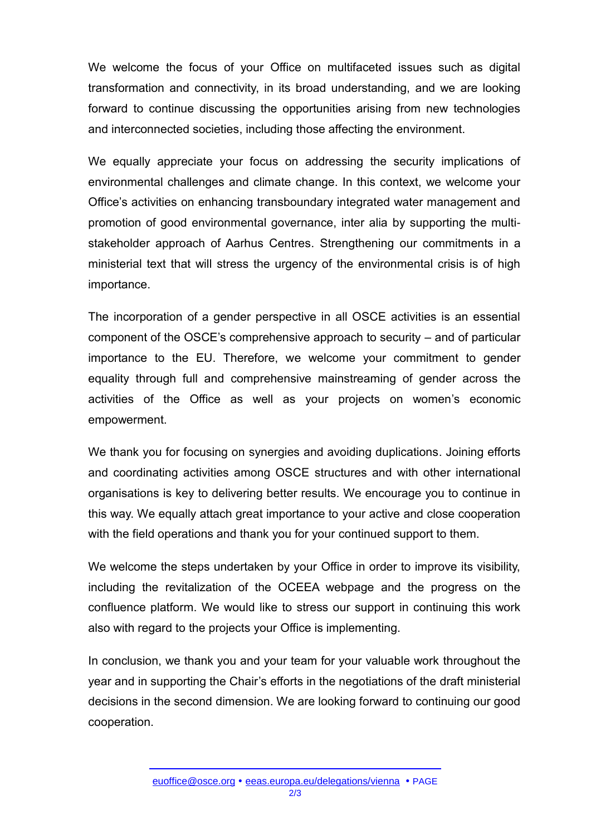We welcome the focus of your Office on multifaceted issues such as digital transformation and connectivity, in its broad understanding, and we are looking forward to continue discussing the opportunities arising from new technologies and interconnected societies, including those affecting the environment.

We equally appreciate your focus on addressing the security implications of environmental challenges and climate change. In this context, we welcome your Office's activities on enhancing transboundary integrated water management and promotion of good environmental governance, inter alia by supporting the multistakeholder approach of Aarhus Centres. Strengthening our commitments in a ministerial text that will stress the urgency of the environmental crisis is of high importance.

The incorporation of a gender perspective in all OSCE activities is an essential component of the OSCE's comprehensive approach to security – and of particular importance to the EU. Therefore, we welcome your commitment to gender equality through full and comprehensive mainstreaming of gender across the activities of the Office as well as your projects on women's economic empowerment.

We thank you for focusing on synergies and avoiding duplications. Joining efforts and coordinating activities among OSCE structures and with other international organisations is key to delivering better results. We encourage you to continue in this way. We equally attach great importance to your active and close cooperation with the field operations and thank you for your continued support to them.

We welcome the steps undertaken by your Office in order to improve its visibility, including the revitalization of the OCEEA webpage and the progress on the confluence platform. We would like to stress our support in continuing this work also with regard to the projects your Office is implementing.

In conclusion, we thank you and your team for your valuable work throughout the year and in supporting the Chair's efforts in the negotiations of the draft ministerial decisions in the second dimension. We are looking forward to continuing our good cooperation.